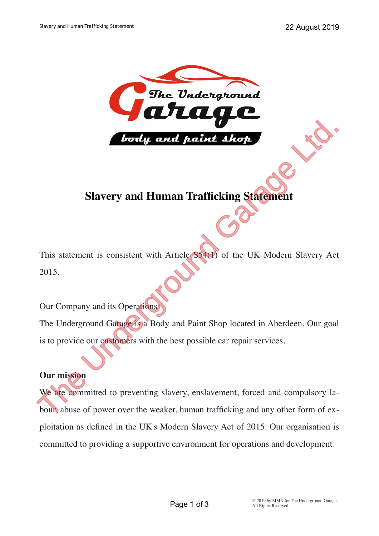

# **Slavery and Human Trafficking Statement**

This statement is consistent with Article S54(1) of the UK Modern Slavery Act 2015.

Our Company and its Operations

The Underground Garage is a Body and Paint Shop located in Aberdeen. Our goal is to provide our customers with the best possible car repair services.

## **Our mission**

We are committed to preventing slavery, enslavement, forced and compulsory labour, abuse of power over the weaker, human trafficking and any other form of exploitation as defined in the UK's Modern Slavery Act of 2015. Our organisation is committed to providing a supportive environment for operations and development. This statement is consistent with Article (SS4(*i*) of the UK Modern Slavery Act<br>2015.<br>This statement is consistent with Article (SS4(*i*) of the UK Modern Slavery Act<br>2015.<br>Our Company and its Operations<br>3.<br>The Undergroun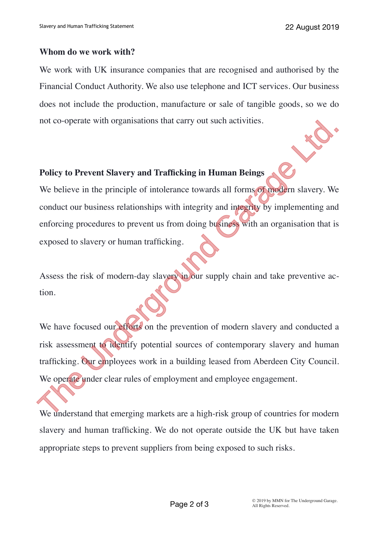#### **Whom do we work with?**

We work with UK insurance companies that are recognised and authorised by the Financial Conduct Authority. We also use telephone and ICT services. Our business does not include the production, manufacture or sale of tangible goods, so we do not co-operate with organisations that carry out such activities.

### **Policy to Prevent Slavery and Trafficking in Human Beings**

We believe in the principle of intolerance towards all forms of modern slavery. We conduct our business relationships with integrity and integrity by implementing and enforcing procedures to prevent us from doing business with an organisation that is exposed to slavery or human trafficking.

Assess the risk of modern-day slavery in our supply chain and take preventive action.

We have focused our efforts on the prevention of modern slavery and conducted a risk assessment to identify potential sources of contemporary slavery and human trafficking. Our employees work in a building leased from Aberdeen City Council. We operate under clear rules of employment and employee engagement. The Undergrade with organisations that carry out such activities.<br>
The Universe Conservative Engine and Trafficking in Human Beings<br>
We believe in the principle of intolerance towards all forms of modern slavery. We<br>
condu

We understand that emerging markets are a high-risk group of countries for modern slavery and human trafficking. We do not operate outside the UK but have taken appropriate steps to prevent suppliers from being exposed to such risks.